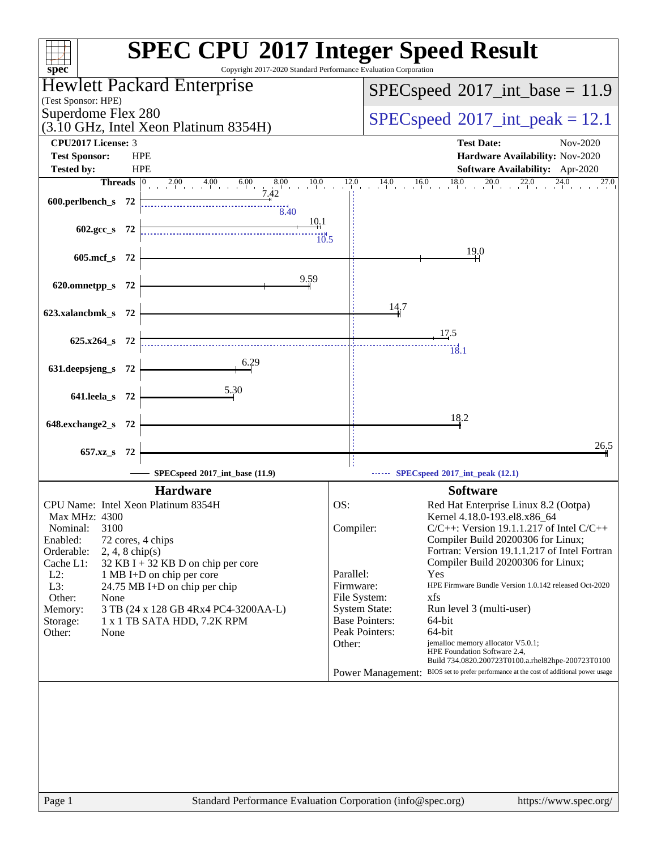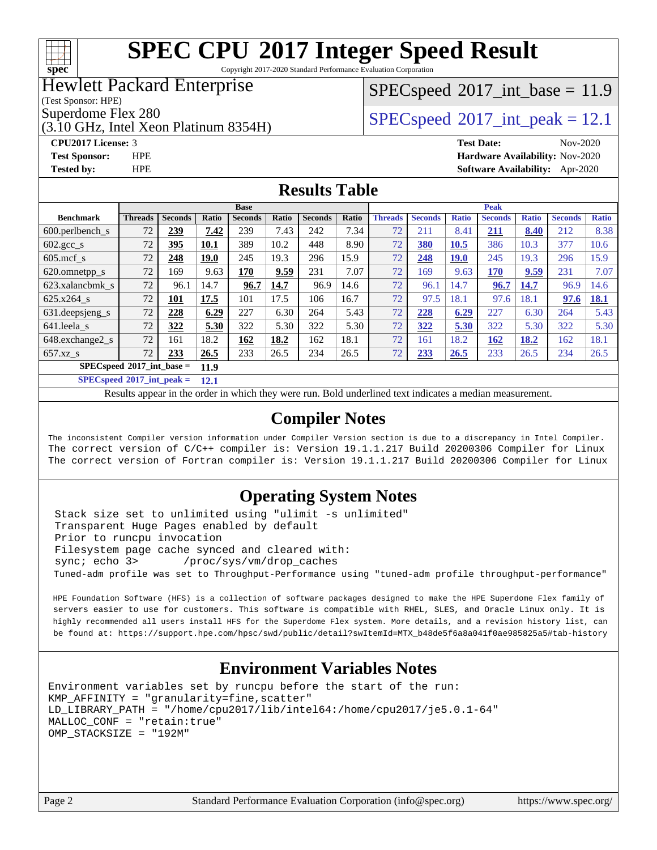

Copyright 2017-2020 Standard Performance Evaluation Corporation

### Hewlett Packard Enterprise

(Test Sponsor: HPE)

(3.10 GHz, Intel Xeon Platinum 8354H)

#### $SPECspeed^{\circ}2017\_int\_base = 11.9$  $SPECspeed^{\circ}2017\_int\_base = 11.9$

Superdome Flex 280<br>  $SPEC speed^{\circ}2017$  int\_peak = 12.1

**[CPU2017 License:](http://www.spec.org/auto/cpu2017/Docs/result-fields.html#CPU2017License)** 3 **[Test Date:](http://www.spec.org/auto/cpu2017/Docs/result-fields.html#TestDate)** Nov-2020 **[Test Sponsor:](http://www.spec.org/auto/cpu2017/Docs/result-fields.html#TestSponsor)** HPE **[Hardware Availability:](http://www.spec.org/auto/cpu2017/Docs/result-fields.html#HardwareAvailability)** Nov-2020 **[Tested by:](http://www.spec.org/auto/cpu2017/Docs/result-fields.html#Testedby)** HPE **[Software Availability:](http://www.spec.org/auto/cpu2017/Docs/result-fields.html#SoftwareAvailability)** Apr-2020

#### **[Results Table](http://www.spec.org/auto/cpu2017/Docs/result-fields.html#ResultsTable)**

|                                     | <b>Base</b>    |                |       |                |       |                | <b>Peak</b> |                |                |              |                |              |                |              |
|-------------------------------------|----------------|----------------|-------|----------------|-------|----------------|-------------|----------------|----------------|--------------|----------------|--------------|----------------|--------------|
| <b>Benchmark</b>                    | <b>Threads</b> | <b>Seconds</b> | Ratio | <b>Seconds</b> | Ratio | <b>Seconds</b> | Ratio       | <b>Threads</b> | <b>Seconds</b> | <b>Ratio</b> | <b>Seconds</b> | <b>Ratio</b> | <b>Seconds</b> | <b>Ratio</b> |
| 600.perlbench s                     | 72             | 239            | 7.42  | 239            | 7.43  | 242            | 7.34        | 72             | 211            | 8.41         | 211            | 8.40         | 212            | 8.38         |
| $602.\text{gcc}\_\text{s}$          | 72             | 395            | 10.1  | 389            | 10.2  | 448            | 8.90        | 72             | 380            | 10.5         | 386            | 10.3         | 377            | 10.6         |
| $605 \text{.mcf}$ s                 | 72             | 248            | 19.0  | 245            | 19.3  | 296            | 15.9        | 72             | 248            | <b>19.0</b>  | 245            | 19.3         | 296            | 15.9         |
| 620.omnetpp_s                       | 72             | 169            | 9.63  | 170            | 9.59  | 231            | 7.07        | 72             | 169            | 9.63         | 170            | 9.59         | 231            | 7.07         |
| 623.xalancbmk s                     | 72             | 96.1           | 14.7  | 96.7           | 14.7  | 96.9           | 14.6        | 72             | 96.1           | 14.7         | 96.7           | 14.7         | 96.9           | 14.6         |
| $625.x264$ s                        | 72             | 101            | 17.5  | 101            | 17.5  | 106            | 16.7        | 72             | 97.5           | 18.1         | 97.6           | 18.1         | 97.6           | 18.1         |
| 631.deepsjeng_s                     | 72             | 228            | 6.29  | 227            | 6.30  | 264            | 5.43        | 72             | 228            | 6.29         | 227            | 6.30         | 264            | 5.43         |
| 641.leela s                         | 72             | 322            | 5.30  | 322            | 5.30  | 322            | 5.30        | 72             | 322            | 5.30         | 322            | 5.30         | 322            | 5.30         |
| 648.exchange2_s                     | 72             | 161            | 18.2  | 162            | 18.2  | 162            | 18.1        | 72             | 161            | 18.2         | 162            | 18.2         | 162            | 18.1         |
| $657.xz$ s                          | 72             | 233            | 26.5  | 233            | 26.5  | 234            | 26.5        | 72             | 233            | 26.5         | 233            | 26.5         | 234            | 26.5         |
| $SPECspeed*2017$ int base =<br>11.9 |                |                |       |                |       |                |             |                |                |              |                |              |                |              |

**[SPECspeed](http://www.spec.org/auto/cpu2017/Docs/result-fields.html#SPECspeed2017intpeak)[2017\\_int\\_peak =](http://www.spec.org/auto/cpu2017/Docs/result-fields.html#SPECspeed2017intpeak) 12.1**

Results appear in the [order in which they were run.](http://www.spec.org/auto/cpu2017/Docs/result-fields.html#RunOrder) Bold underlined text [indicates a median measurement](http://www.spec.org/auto/cpu2017/Docs/result-fields.html#Median).

#### **[Compiler Notes](http://www.spec.org/auto/cpu2017/Docs/result-fields.html#CompilerNotes)**

The inconsistent Compiler version information under Compiler Version section is due to a discrepancy in Intel Compiler. The correct version of C/C++ compiler is: Version 19.1.1.217 Build 20200306 Compiler for Linux The correct version of Fortran compiler is: Version 19.1.1.217 Build 20200306 Compiler for Linux

#### **[Operating System Notes](http://www.spec.org/auto/cpu2017/Docs/result-fields.html#OperatingSystemNotes)**

 Stack size set to unlimited using "ulimit -s unlimited" Transparent Huge Pages enabled by default Prior to runcpu invocation Filesystem page cache synced and cleared with: sync; echo 3> /proc/sys/vm/drop\_caches Tuned-adm profile was set to Throughput-Performance using "tuned-adm profile throughput-performance"

 HPE Foundation Software (HFS) is a collection of software packages designed to make the HPE Superdome Flex family of servers easier to use for customers. This software is compatible with RHEL, SLES, and Oracle Linux only. It is highly recommended all users install HFS for the Superdome Flex system. More details, and a revision history list, can be found at: [https://support.hpe.com/hpsc/swd/public/detail?swItemId=MTX\\_b48de5f6a8a041f0ae985825a5#tab-history](https://support.hpe.com/hpsc/swd/public/detail?swItemId=MTX_b48de5f6a8a041f0ae985825a5#tab-history)

#### **[Environment Variables Notes](http://www.spec.org/auto/cpu2017/Docs/result-fields.html#EnvironmentVariablesNotes)**

```
Environment variables set by runcpu before the start of the run:
KMP_AFFINITY = "granularity=fine,scatter"
LD_LIBRARY_PATH = "/home/cpu2017/lib/intel64:/home/cpu2017/je5.0.1-64"
MALLOC_CONF = "retain:true"
OMP_STACKSIZE = "192M"
```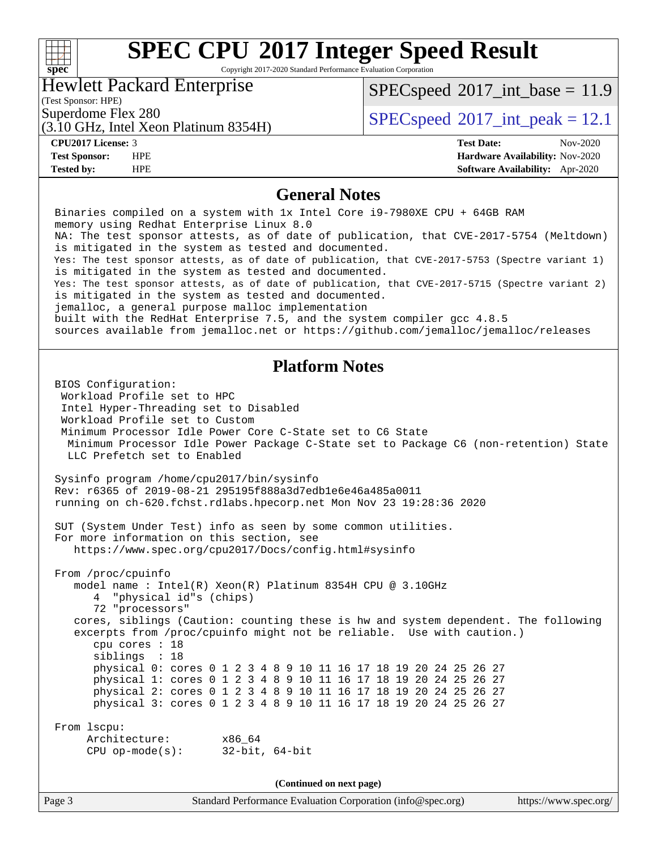#### **[SPEC CPU](http://www.spec.org/auto/cpu2017/Docs/result-fields.html#SPECCPU2017IntegerSpeedResult)[2017 Integer Speed Result](http://www.spec.org/auto/cpu2017/Docs/result-fields.html#SPECCPU2017IntegerSpeedResult) [spec](http://www.spec.org/)** Copyright 2017-2020 Standard Performance Evaluation Corporation Hewlett Packard Enterprise  $SPEC speed$ <sup>®</sup>[2017\\_int\\_base =](http://www.spec.org/auto/cpu2017/Docs/result-fields.html#SPECspeed2017intbase) 11.9 (Test Sponsor: HPE)  $SPECspeed@2017\_int\_peak = 12.1$  $SPECspeed@2017\_int\_peak = 12.1$ (3.10 GHz, Intel Xeon Platinum 8354H) **[CPU2017 License:](http://www.spec.org/auto/cpu2017/Docs/result-fields.html#CPU2017License)** 3 **[Test Date:](http://www.spec.org/auto/cpu2017/Docs/result-fields.html#TestDate)** Nov-2020 **[Test Sponsor:](http://www.spec.org/auto/cpu2017/Docs/result-fields.html#TestSponsor)** HPE **[Hardware Availability:](http://www.spec.org/auto/cpu2017/Docs/result-fields.html#HardwareAvailability)** Nov-2020 **[Tested by:](http://www.spec.org/auto/cpu2017/Docs/result-fields.html#Testedby)** HPE **[Software Availability:](http://www.spec.org/auto/cpu2017/Docs/result-fields.html#SoftwareAvailability)** Apr-2020

#### **[General Notes](http://www.spec.org/auto/cpu2017/Docs/result-fields.html#GeneralNotes)**

| General indues                                                                                                                                                                                                                                                                                                                                                                                                                                                                                                                                                                                                                                                                                                                                                                                                          |  |  |  |  |  |  |
|-------------------------------------------------------------------------------------------------------------------------------------------------------------------------------------------------------------------------------------------------------------------------------------------------------------------------------------------------------------------------------------------------------------------------------------------------------------------------------------------------------------------------------------------------------------------------------------------------------------------------------------------------------------------------------------------------------------------------------------------------------------------------------------------------------------------------|--|--|--|--|--|--|
| Binaries compiled on a system with 1x Intel Core i9-7980XE CPU + 64GB RAM<br>memory using Redhat Enterprise Linux 8.0<br>NA: The test sponsor attests, as of date of publication, that CVE-2017-5754 (Meltdown)<br>is mitigated in the system as tested and documented.<br>Yes: The test sponsor attests, as of date of publication, that CVE-2017-5753 (Spectre variant 1)<br>is mitigated in the system as tested and documented.<br>Yes: The test sponsor attests, as of date of publication, that CVE-2017-5715 (Spectre variant 2)<br>is mitigated in the system as tested and documented.<br>jemalloc, a general purpose malloc implementation<br>built with the RedHat Enterprise 7.5, and the system compiler gcc 4.8.5<br>sources available from jemalloc.net or https://github.com/jemalloc/jemalloc/releases |  |  |  |  |  |  |
|                                                                                                                                                                                                                                                                                                                                                                                                                                                                                                                                                                                                                                                                                                                                                                                                                         |  |  |  |  |  |  |
| <b>Platform Notes</b><br>BIOS Configuration:<br>Workload Profile set to HPC<br>Intel Hyper-Threading set to Disabled<br>Workload Profile set to Custom<br>Minimum Processor Idle Power Core C-State set to C6 State<br>Minimum Processor Idle Power Package C-State set to Package C6 (non-retention) State<br>LLC Prefetch set to Enabled                                                                                                                                                                                                                                                                                                                                                                                                                                                                              |  |  |  |  |  |  |
| Sysinfo program /home/cpu2017/bin/sysinfo<br>Rev: r6365 of 2019-08-21 295195f888a3d7edble6e46a485a0011<br>running on ch-620.fchst.rdlabs.hpecorp.net Mon Nov 23 19:28:36 2020                                                                                                                                                                                                                                                                                                                                                                                                                                                                                                                                                                                                                                           |  |  |  |  |  |  |
| SUT (System Under Test) info as seen by some common utilities.<br>For more information on this section, see<br>https://www.spec.org/cpu2017/Docs/config.html#sysinfo                                                                                                                                                                                                                                                                                                                                                                                                                                                                                                                                                                                                                                                    |  |  |  |  |  |  |
| From /proc/cpuinfo<br>model name : Intel(R) Xeon(R) Platinum 8354H CPU @ 3.10GHz<br>"physical id"s (chips)<br>4<br>72 "processors"<br>cores, siblings (Caution: counting these is hw and system dependent. The following<br>excerpts from /proc/cpuinfo might not be reliable. Use with caution.)<br>cpu cores : 18<br>siblings : 18<br>physical 0: cores 0 1 2 3 4 8 9 10 11 16 17 18 19 20 24 25 26 27<br>physical 1: cores 0 1 2 3 4 8 9 10 11 16 17 18 19 20 24 25 26 27<br>physical 2: cores 0 1 2 3 4 8 9 10 11 16 17 18 19 20 24 25 26 27<br>physical 3: cores 0 1 2 3 4 8 9 10 11 16 17 18 19 20 24 25 26 27                                                                                                                                                                                                    |  |  |  |  |  |  |
| From 1scpu:<br>Architecture:<br>x86_64<br>$32$ -bit, $64$ -bit<br>$CPU$ op-mode( $s$ ):                                                                                                                                                                                                                                                                                                                                                                                                                                                                                                                                                                                                                                                                                                                                 |  |  |  |  |  |  |
| (Continued on next page)                                                                                                                                                                                                                                                                                                                                                                                                                                                                                                                                                                                                                                                                                                                                                                                                |  |  |  |  |  |  |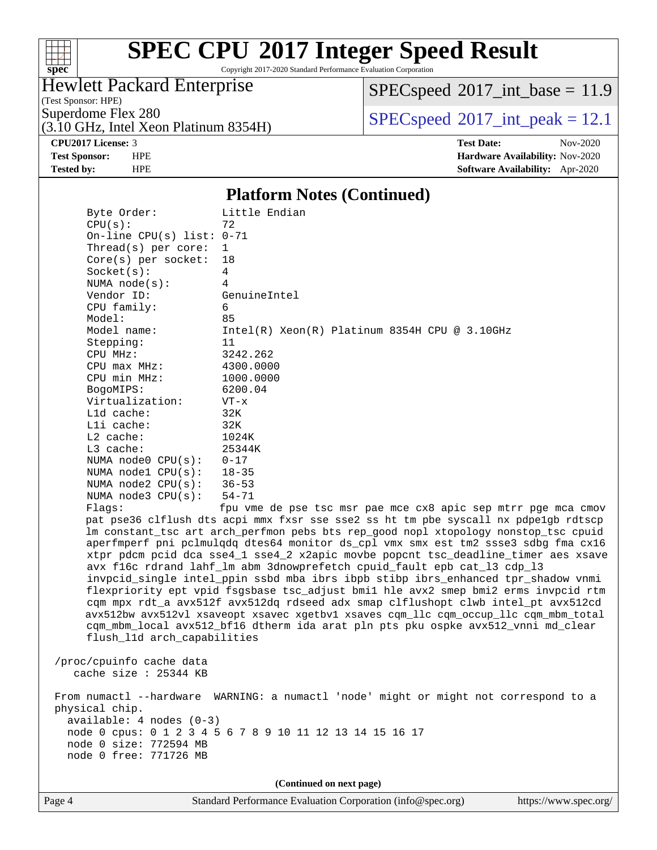

Copyright 2017-2020 Standard Performance Evaluation Corporation

#### Hewlett Packard Enterprise

(Test Sponsor: HPE)

 $SPECspeed^{\circ}2017\_int\_base = 11.9$  $SPECspeed^{\circ}2017\_int\_base = 11.9$ 

(3.10 GHz, Intel Xeon Platinum 8354H)

Superdome Flex 280<br>  $SPECspeed^{\circ}2017$  $SPECspeed^{\circ}2017$ \_int\_peak = 12.1

**[CPU2017 License:](http://www.spec.org/auto/cpu2017/Docs/result-fields.html#CPU2017License)** 3 **[Test Date:](http://www.spec.org/auto/cpu2017/Docs/result-fields.html#TestDate)** Nov-2020 **[Test Sponsor:](http://www.spec.org/auto/cpu2017/Docs/result-fields.html#TestSponsor)** HPE **[Hardware Availability:](http://www.spec.org/auto/cpu2017/Docs/result-fields.html#HardwareAvailability)** Nov-2020 **[Tested by:](http://www.spec.org/auto/cpu2017/Docs/result-fields.html#Testedby)** HPE **[Software Availability:](http://www.spec.org/auto/cpu2017/Docs/result-fields.html#SoftwareAvailability)** Apr-2020

#### **[Platform Notes \(Continued\)](http://www.spec.org/auto/cpu2017/Docs/result-fields.html#PlatformNotes)**

 Byte Order: Little Endian  $CPU(s):$  72 On-line CPU(s) list: 0-71 Thread(s) per core: 1 Core(s) per socket: 18 Socket(s): 4 NUMA node(s): 4 Vendor ID: GenuineIntel CPU family: 6 Model: 85 Model name: Intel(R) Xeon(R) Platinum 8354H CPU @ 3.10GHz Stepping: 11 CPU MHz: 3242.262 CPU max MHz: 4300.0000 CPU min MHz: 1000.0000 BogoMIPS: 6200.04 Virtualization: VT-x L1d cache: 32K L1i cache: 32K L2 cache: 1024K L3 cache: 25344K NUMA node0 CPU(s): 0-17 NUMA node1 CPU(s): 18-35 NUMA node2 CPU(s): 36-53 NUMA node3 CPU(s): 54-71 Flags: fpu vme de pse tsc msr pae mce cx8 apic sep mtrr pge mca cmov pat pse36 clflush dts acpi mmx fxsr sse sse2 ss ht tm pbe syscall nx pdpe1gb rdtscp lm constant\_tsc art arch\_perfmon pebs bts rep\_good nopl xtopology nonstop\_tsc cpuid aperfmperf pni pclmulqdq dtes64 monitor ds\_cpl vmx smx est tm2 ssse3 sdbg fma cx16 xtpr pdcm pcid dca sse4\_1 sse4\_2 x2apic movbe popcnt tsc\_deadline\_timer aes xsave avx f16c rdrand lahf\_lm abm 3dnowprefetch cpuid\_fault epb cat\_l3 cdp\_l3 invpcid\_single intel\_ppin ssbd mba ibrs ibpb stibp ibrs\_enhanced tpr\_shadow vnmi flexpriority ept vpid fsgsbase tsc\_adjust bmi1 hle avx2 smep bmi2 erms invpcid rtm cqm mpx rdt\_a avx512f avx512dq rdseed adx smap clflushopt clwb intel\_pt avx512cd avx512bw avx512vl xsaveopt xsavec xgetbv1 xsaves cqm\_llc cqm\_occup\_llc cqm\_mbm\_total cqm\_mbm\_local avx512\_bf16 dtherm ida arat pln pts pku ospke avx512\_vnni md\_clear flush\_l1d arch\_capabilities /proc/cpuinfo cache data cache size : 25344 KB From numactl --hardware WARNING: a numactl 'node' might or might not correspond to a physical chip.

 available: 4 nodes (0-3) node 0 cpus: 0 1 2 3 4 5 6 7 8 9 10 11 12 13 14 15 16 17 node 0 size: 772594 MB node 0 free: 771726 MB

**(Continued on next page)**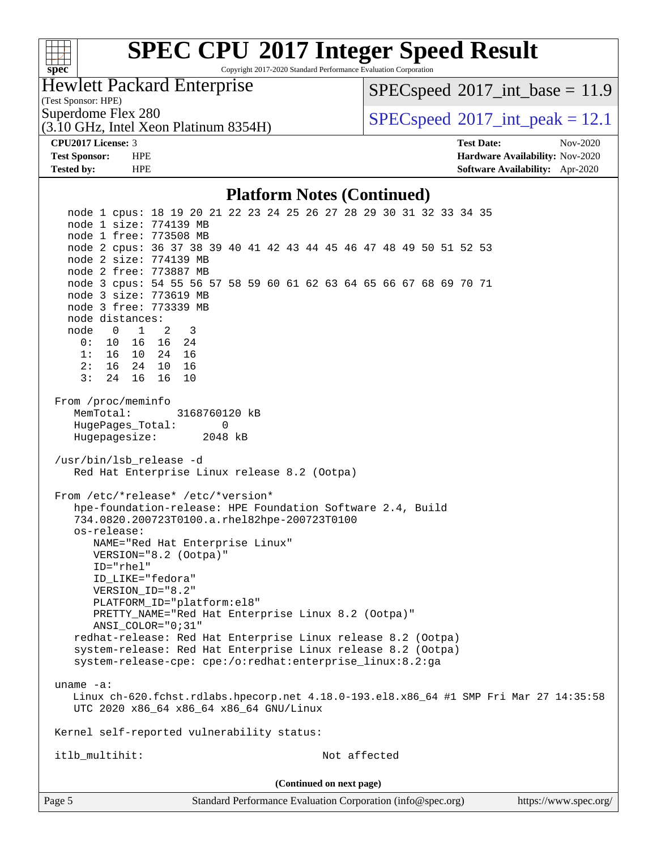| S | оe |  |
|---|----|--|

Copyright 2017-2020 Standard Performance Evaluation Corporation

Hewlett Packard Enterprise

 $SPECspeed^{\circ}2017\_int\_base = 11.9$  $SPECspeed^{\circ}2017\_int\_base = 11.9$ 

(Test Sponsor: HPE)

(3.10 GHz, Intel Xeon Platinum 8354H)

Superdome Flex 280  $SPEC speed^{\circ}2017$ \_int\_peak = 12.1

**[CPU2017 License:](http://www.spec.org/auto/cpu2017/Docs/result-fields.html#CPU2017License)** 3 **[Test Date:](http://www.spec.org/auto/cpu2017/Docs/result-fields.html#TestDate)** Nov-2020 **[Test Sponsor:](http://www.spec.org/auto/cpu2017/Docs/result-fields.html#TestSponsor)** HPE **[Hardware Availability:](http://www.spec.org/auto/cpu2017/Docs/result-fields.html#HardwareAvailability)** Nov-2020 **[Tested by:](http://www.spec.org/auto/cpu2017/Docs/result-fields.html#Testedby)** HPE **[Software Availability:](http://www.spec.org/auto/cpu2017/Docs/result-fields.html#SoftwareAvailability)** Apr-2020

#### **[Platform Notes \(Continued\)](http://www.spec.org/auto/cpu2017/Docs/result-fields.html#PlatformNotes)**

Page 5 Standard Performance Evaluation Corporation [\(info@spec.org\)](mailto:info@spec.org) <https://www.spec.org/> node 1 cpus: 18 19 20 21 22 23 24 25 26 27 28 29 30 31 32 33 34 35 node 1 size: 774139 MB node 1 free: 773508 MB node 2 cpus: 36 37 38 39 40 41 42 43 44 45 46 47 48 49 50 51 52 53 node 2 size: 774139 MB node 2 free: 773887 MB node 3 cpus: 54 55 56 57 58 59 60 61 62 63 64 65 66 67 68 69 70 71 node 3 size: 773619 MB node 3 free: 773339 MB node distances: node 0 1 2 3 0: 10 16 16 24 1: 16 10 24 16 2: 16 24 10 16 3: 24 16 16 10 From /proc/meminfo MemTotal: 3168760120 kB HugePages\_Total: 0 Hugepagesize: 2048 kB /usr/bin/lsb\_release -d Red Hat Enterprise Linux release 8.2 (Ootpa) From /etc/\*release\* /etc/\*version\* hpe-foundation-release: HPE Foundation Software 2.4, Build 734.0820.200723T0100.a.rhel82hpe-200723T0100 os-release: NAME="Red Hat Enterprise Linux" VERSION="8.2 (Ootpa)" ID="rhel" ID\_LIKE="fedora" VERSION\_ID="8.2" PLATFORM\_ID="platform:el8" PRETTY\_NAME="Red Hat Enterprise Linux 8.2 (Ootpa)" ANSI\_COLOR="0;31" redhat-release: Red Hat Enterprise Linux release 8.2 (Ootpa) system-release: Red Hat Enterprise Linux release 8.2 (Ootpa) system-release-cpe: cpe:/o:redhat:enterprise\_linux:8.2:ga uname -a: Linux ch-620.fchst.rdlabs.hpecorp.net 4.18.0-193.el8.x86\_64 #1 SMP Fri Mar 27 14:35:58 UTC 2020 x86\_64 x86\_64 x86\_64 GNU/Linux Kernel self-reported vulnerability status: itlb\_multihit: Not affected **(Continued on next page)**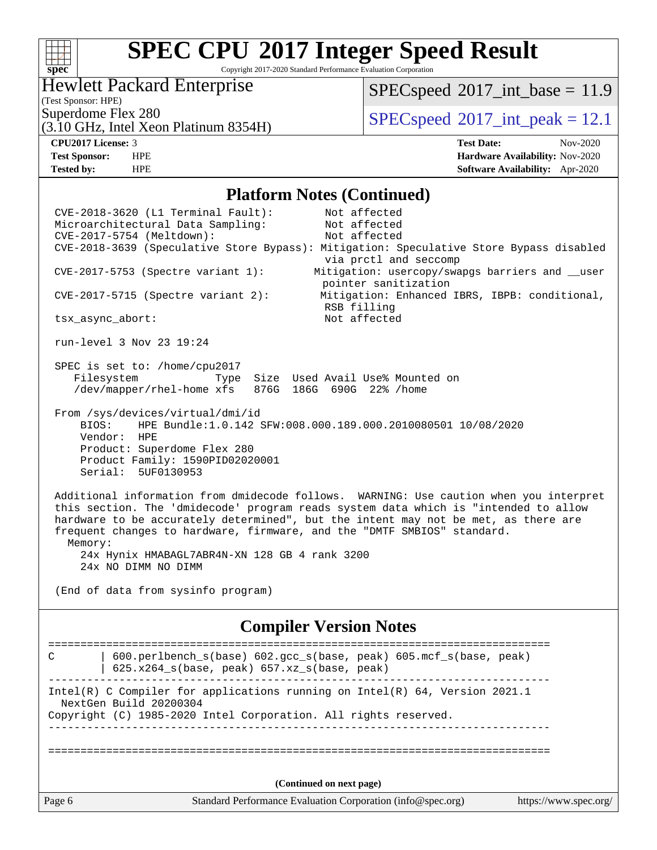#### $+\,$ H **[spec](http://www.spec.org/)**

# **[SPEC CPU](http://www.spec.org/auto/cpu2017/Docs/result-fields.html#SPECCPU2017IntegerSpeedResult)[2017 Integer Speed Result](http://www.spec.org/auto/cpu2017/Docs/result-fields.html#SPECCPU2017IntegerSpeedResult)**

Copyright 2017-2020 Standard Performance Evaluation Corporation

#### Hewlett Packard Enterprise

 $SPECspeed^{\circledcirc}2017\_int\_base = 11.9$  $SPECspeed^{\circledcirc}2017\_int\_base = 11.9$ 

(Test Sponsor: HPE)

(3.10 GHz, Intel Xeon Platinum 8354H)

Superdome Flex 280<br>  $SPEC speed^{\circ}2017$  int\_peak = 12.1

**[CPU2017 License:](http://www.spec.org/auto/cpu2017/Docs/result-fields.html#CPU2017License)** 3 **[Test Date:](http://www.spec.org/auto/cpu2017/Docs/result-fields.html#TestDate)** Nov-2020 **[Test Sponsor:](http://www.spec.org/auto/cpu2017/Docs/result-fields.html#TestSponsor)** HPE **[Hardware Availability:](http://www.spec.org/auto/cpu2017/Docs/result-fields.html#HardwareAvailability)** Nov-2020 **[Tested by:](http://www.spec.org/auto/cpu2017/Docs/result-fields.html#Testedby)** HPE **[Software Availability:](http://www.spec.org/auto/cpu2017/Docs/result-fields.html#SoftwareAvailability)** Apr-2020

#### **[Platform Notes \(Continued\)](http://www.spec.org/auto/cpu2017/Docs/result-fields.html#PlatformNotes)**

Page 6 Standard Performance Evaluation Corporation [\(info@spec.org\)](mailto:info@spec.org) <https://www.spec.org/> CVE-2018-3620 (L1 Terminal Fault): Not affected Microarchitectural Data Sampling: Not affected CVE-2017-5754 (Meltdown): Not affected CVE-2018-3639 (Speculative Store Bypass): Mitigation: Speculative Store Bypass disabled via prctl and seccomp CVE-2017-5753 (Spectre variant 1): Mitigation: usercopy/swapgs barriers and \_\_user pointer sanitization CVE-2017-5715 (Spectre variant 2): Mitigation: Enhanced IBRS, IBPB: conditional, RSB filling tsx\_async\_abort: Not affected run-level 3 Nov 23 19:24 SPEC is set to: /home/cpu2017 Filesystem Type Size Used Avail Use% Mounted on /dev/mapper/rhel-home xfs 876G 186G 690G 22% /home From /sys/devices/virtual/dmi/id BIOS: HPE Bundle:1.0.142 SFW:008.000.189.000.2010080501 10/08/2020 Vendor: HPE Product: Superdome Flex 280 Product Family: 1590PID02020001 Serial: 5UF0130953 Additional information from dmidecode follows. WARNING: Use caution when you interpret this section. The 'dmidecode' program reads system data which is "intended to allow hardware to be accurately determined", but the intent may not be met, as there are frequent changes to hardware, firmware, and the "DMTF SMBIOS" standard. Memory: 24x Hynix HMABAGL7ABR4N-XN 128 GB 4 rank 3200 24x NO DIMM NO DIMM (End of data from sysinfo program) **[Compiler Version Notes](http://www.spec.org/auto/cpu2017/Docs/result-fields.html#CompilerVersionNotes)** ============================================================================== C | 600.perlbench\_s(base) 602.gcc\_s(base, peak) 605.mcf\_s(base, peak) | 625.x264\_s(base, peak) 657.xz\_s(base, peak) ------------------------------------------------------------------------------ Intel(R) C Compiler for applications running on Intel(R) 64, Version 2021.1 NextGen Build 20200304 Copyright (C) 1985-2020 Intel Corporation. All rights reserved. ------------------------------------------------------------------------------ ============================================================================== **(Continued on next page)**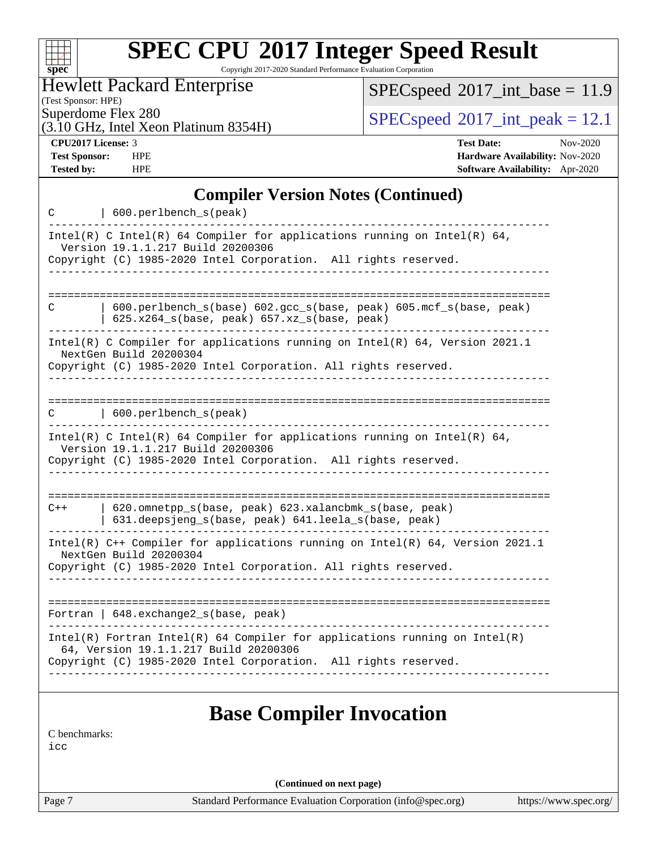| s:<br>۸ | Dе | Ľ |  |
|---------|----|---|--|

Copyright 2017-2020 Standard Performance Evaluation Corporation

Hewlett Packard Enterprise

(3.10 GHz, Intel Xeon Platinum 8354H)

 $SPEC speed$ <sup>®</sup> $2017$ \_int\_base = 11.9

(Test Sponsor: HPE)

 $SPEC speed^{\circ}2017\_int\_peak = 12.1$ 

**[CPU2017 License:](http://www.spec.org/auto/cpu2017/Docs/result-fields.html#CPU2017License)** 3 **[Test Date:](http://www.spec.org/auto/cpu2017/Docs/result-fields.html#TestDate)** Nov-2020 **[Test Sponsor:](http://www.spec.org/auto/cpu2017/Docs/result-fields.html#TestSponsor)** HPE **[Hardware Availability:](http://www.spec.org/auto/cpu2017/Docs/result-fields.html#HardwareAvailability)** Nov-2020 **[Tested by:](http://www.spec.org/auto/cpu2017/Docs/result-fields.html#Testedby)** HPE **[Software Availability:](http://www.spec.org/auto/cpu2017/Docs/result-fields.html#SoftwareAvailability)** Apr-2020

#### **[Compiler Version Notes \(Continued\)](http://www.spec.org/auto/cpu2017/Docs/result-fields.html#CompilerVersionNotes)**

| 600.perlbench_s(peak)<br>C                                                                                                                                                                                                 |
|----------------------------------------------------------------------------------------------------------------------------------------------------------------------------------------------------------------------------|
| Intel(R) C Intel(R) 64 Compiler for applications running on Intel(R) 64,<br>Version 19.1.1.217 Build 20200306<br>Copyright (C) 1985-2020 Intel Corporation. All rights reserved.                                           |
|                                                                                                                                                                                                                            |
| 600.perlbench_s(base) 602.gcc_s(base, peak) 605.mcf_s(base, peak)<br>C<br>625.x264_s(base, peak) 657.xz_s(base, peak)                                                                                                      |
| Intel(R) C Compiler for applications running on Intel(R) 64, Version 2021.1<br>NextGen Build 20200304<br>Copyright (C) 1985-2020 Intel Corporation. All rights reserved.                                                   |
|                                                                                                                                                                                                                            |
| 600.perlbench_s(peak)<br>C                                                                                                                                                                                                 |
| --------------------------------------<br>Intel(R) C Intel(R) 64 Compiler for applications running on Intel(R) 64,<br>Version 19.1.1.217 Build 20200306<br>Copyright (C) 1985-2020 Intel Corporation. All rights reserved. |
|                                                                                                                                                                                                                            |
| 620.omnetpp_s(base, peak) 623.xalancbmk_s(base, peak)<br>$C++$<br>631.deepsjeng_s(base, peak) 641.leela_s(base, peak)                                                                                                      |
| Intel(R) C++ Compiler for applications running on Intel(R) 64, Version 2021.1<br>NextGen Build 20200304<br>Copyright (C) 1985-2020 Intel Corporation. All rights reserved.                                                 |
| Fortran   648. exchange2_s(base, peak)                                                                                                                                                                                     |
| ----------------------------<br>$Intel(R)$ Fortran Intel(R) 64 Compiler for applications running on Intel(R)                                                                                                               |
| 64, Version 19.1.1.217 Build 20200306<br>Copyright (C) 1985-2020 Intel Corporation. All rights reserved.                                                                                                                   |
| <b>Base Compiler Invocation</b>                                                                                                                                                                                            |
| C benchmarks:                                                                                                                                                                                                              |

[icc](http://www.spec.org/cpu2017/results/res2020q4/cpu2017-20201207-24503.flags.html#user_CCbase_intel_icc_66fc1ee009f7361af1fbd72ca7dcefbb700085f36577c54f309893dd4ec40d12360134090235512931783d35fd58c0460139e722d5067c5574d8eaf2b3e37e92)

**(Continued on next page)**

Page 7 Standard Performance Evaluation Corporation [\(info@spec.org\)](mailto:info@spec.org) <https://www.spec.org/>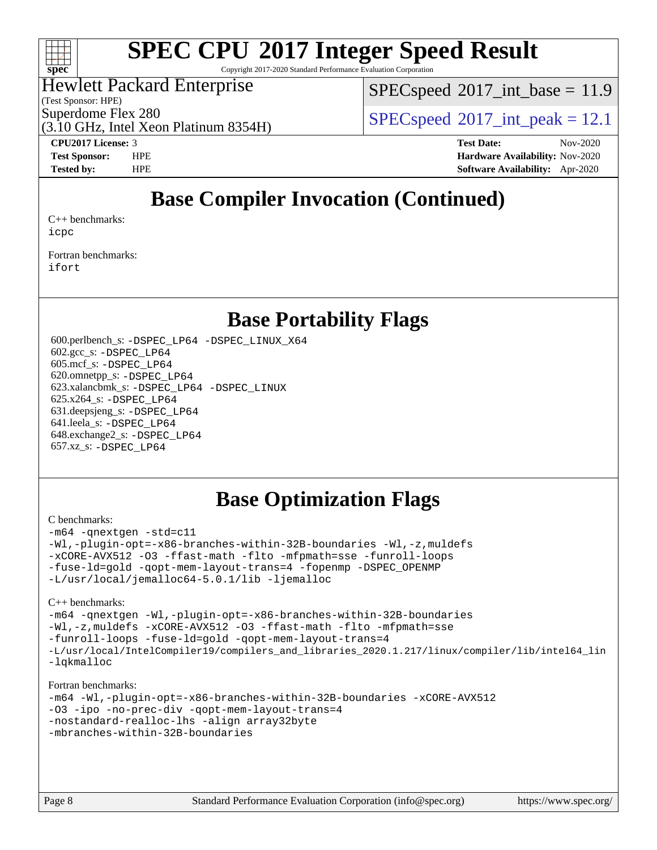

Copyright 2017-2020 Standard Performance Evaluation Corporation

#### Hewlett Packard Enterprise

(Test Sponsor: HPE)

 $SPECspeed^{\circ}2017\_int\_base = 11.9$  $SPECspeed^{\circ}2017\_int\_base = 11.9$ 

Superdome Flex 280<br>  $SPECspeed^{\circ}2017$  $SPECspeed^{\circ}2017$ \_int\_peak = 12.1

(3.10 GHz, Intel Xeon Platinum 8354H)

**[CPU2017 License:](http://www.spec.org/auto/cpu2017/Docs/result-fields.html#CPU2017License)** 3 **[Test Date:](http://www.spec.org/auto/cpu2017/Docs/result-fields.html#TestDate)** Nov-2020 **[Test Sponsor:](http://www.spec.org/auto/cpu2017/Docs/result-fields.html#TestSponsor)** HPE **[Hardware Availability:](http://www.spec.org/auto/cpu2017/Docs/result-fields.html#HardwareAvailability)** Nov-2020 **[Tested by:](http://www.spec.org/auto/cpu2017/Docs/result-fields.html#Testedby)** HPE **[Software Availability:](http://www.spec.org/auto/cpu2017/Docs/result-fields.html#SoftwareAvailability)** Apr-2020

### **[Base Compiler Invocation \(Continued\)](http://www.spec.org/auto/cpu2017/Docs/result-fields.html#BaseCompilerInvocation)**

[C++ benchmarks:](http://www.spec.org/auto/cpu2017/Docs/result-fields.html#CXXbenchmarks) [icpc](http://www.spec.org/cpu2017/results/res2020q4/cpu2017-20201207-24503.flags.html#user_CXXbase_intel_icpc_c510b6838c7f56d33e37e94d029a35b4a7bccf4766a728ee175e80a419847e808290a9b78be685c44ab727ea267ec2f070ec5dc83b407c0218cded6866a35d07)

[Fortran benchmarks](http://www.spec.org/auto/cpu2017/Docs/result-fields.html#Fortranbenchmarks): [ifort](http://www.spec.org/cpu2017/results/res2020q4/cpu2017-20201207-24503.flags.html#user_FCbase_intel_ifort_8111460550e3ca792625aed983ce982f94888b8b503583aa7ba2b8303487b4d8a21a13e7191a45c5fd58ff318f48f9492884d4413fa793fd88dd292cad7027ca)

### **[Base Portability Flags](http://www.spec.org/auto/cpu2017/Docs/result-fields.html#BasePortabilityFlags)**

 600.perlbench\_s: [-DSPEC\\_LP64](http://www.spec.org/cpu2017/results/res2020q4/cpu2017-20201207-24503.flags.html#b600.perlbench_s_basePORTABILITY_DSPEC_LP64) [-DSPEC\\_LINUX\\_X64](http://www.spec.org/cpu2017/results/res2020q4/cpu2017-20201207-24503.flags.html#b600.perlbench_s_baseCPORTABILITY_DSPEC_LINUX_X64) 602.gcc\_s: [-DSPEC\\_LP64](http://www.spec.org/cpu2017/results/res2020q4/cpu2017-20201207-24503.flags.html#suite_basePORTABILITY602_gcc_s_DSPEC_LP64) 605.mcf\_s: [-DSPEC\\_LP64](http://www.spec.org/cpu2017/results/res2020q4/cpu2017-20201207-24503.flags.html#suite_basePORTABILITY605_mcf_s_DSPEC_LP64) 620.omnetpp\_s: [-DSPEC\\_LP64](http://www.spec.org/cpu2017/results/res2020q4/cpu2017-20201207-24503.flags.html#suite_basePORTABILITY620_omnetpp_s_DSPEC_LP64) 623.xalancbmk\_s: [-DSPEC\\_LP64](http://www.spec.org/cpu2017/results/res2020q4/cpu2017-20201207-24503.flags.html#suite_basePORTABILITY623_xalancbmk_s_DSPEC_LP64) [-DSPEC\\_LINUX](http://www.spec.org/cpu2017/results/res2020q4/cpu2017-20201207-24503.flags.html#b623.xalancbmk_s_baseCXXPORTABILITY_DSPEC_LINUX) 625.x264\_s: [-DSPEC\\_LP64](http://www.spec.org/cpu2017/results/res2020q4/cpu2017-20201207-24503.flags.html#suite_basePORTABILITY625_x264_s_DSPEC_LP64) 631.deepsjeng\_s: [-DSPEC\\_LP64](http://www.spec.org/cpu2017/results/res2020q4/cpu2017-20201207-24503.flags.html#suite_basePORTABILITY631_deepsjeng_s_DSPEC_LP64) 641.leela\_s: [-DSPEC\\_LP64](http://www.spec.org/cpu2017/results/res2020q4/cpu2017-20201207-24503.flags.html#suite_basePORTABILITY641_leela_s_DSPEC_LP64) 648.exchange2\_s: [-DSPEC\\_LP64](http://www.spec.org/cpu2017/results/res2020q4/cpu2017-20201207-24503.flags.html#suite_basePORTABILITY648_exchange2_s_DSPEC_LP64) 657.xz\_s: [-DSPEC\\_LP64](http://www.spec.org/cpu2017/results/res2020q4/cpu2017-20201207-24503.flags.html#suite_basePORTABILITY657_xz_s_DSPEC_LP64)

### **[Base Optimization Flags](http://www.spec.org/auto/cpu2017/Docs/result-fields.html#BaseOptimizationFlags)**

#### [C benchmarks](http://www.spec.org/auto/cpu2017/Docs/result-fields.html#Cbenchmarks):

[-m64](http://www.spec.org/cpu2017/results/res2020q4/cpu2017-20201207-24503.flags.html#user_CCbase_m64-icc) [-qnextgen](http://www.spec.org/cpu2017/results/res2020q4/cpu2017-20201207-24503.flags.html#user_CCbase_f-qnextgen) [-std=c11](http://www.spec.org/cpu2017/results/res2020q4/cpu2017-20201207-24503.flags.html#user_CCbase_std-icc-std_0e1c27790398a4642dfca32ffe6c27b5796f9c2d2676156f2e42c9c44eaad0c049b1cdb667a270c34d979996257aeb8fc440bfb01818dbc9357bd9d174cb8524) [-Wl,-plugin-opt=-x86-branches-within-32B-boundaries](http://www.spec.org/cpu2017/results/res2020q4/cpu2017-20201207-24503.flags.html#user_CCbase_f-x86-branches-within-32B-boundaries_0098b4e4317ae60947b7b728078a624952a08ac37a3c797dfb4ffeb399e0c61a9dd0f2f44ce917e9361fb9076ccb15e7824594512dd315205382d84209e912f3) [-Wl,-z,muldefs](http://www.spec.org/cpu2017/results/res2020q4/cpu2017-20201207-24503.flags.html#user_CCbase_link_force_multiple1_b4cbdb97b34bdee9ceefcfe54f4c8ea74255f0b02a4b23e853cdb0e18eb4525ac79b5a88067c842dd0ee6996c24547a27a4b99331201badda8798ef8a743f577) [-xCORE-AVX512](http://www.spec.org/cpu2017/results/res2020q4/cpu2017-20201207-24503.flags.html#user_CCbase_f-xCORE-AVX512) [-O3](http://www.spec.org/cpu2017/results/res2020q4/cpu2017-20201207-24503.flags.html#user_CCbase_f-O3) [-ffast-math](http://www.spec.org/cpu2017/results/res2020q4/cpu2017-20201207-24503.flags.html#user_CCbase_f-ffast-math) [-flto](http://www.spec.org/cpu2017/results/res2020q4/cpu2017-20201207-24503.flags.html#user_CCbase_f-flto) [-mfpmath=sse](http://www.spec.org/cpu2017/results/res2020q4/cpu2017-20201207-24503.flags.html#user_CCbase_f-mfpmath_70eb8fac26bde974f8ab713bc9086c5621c0b8d2f6c86f38af0bd7062540daf19db5f3a066d8c6684be05d84c9b6322eb3b5be6619d967835195b93d6c02afa1) [-funroll-loops](http://www.spec.org/cpu2017/results/res2020q4/cpu2017-20201207-24503.flags.html#user_CCbase_f-funroll-loops) [-fuse-ld=gold](http://www.spec.org/cpu2017/results/res2020q4/cpu2017-20201207-24503.flags.html#user_CCbase_f-fuse-ld_920b3586e2b8c6e0748b9c84fa9b744736ba725a32cab14ad8f3d4ad28eecb2f59d1144823d2e17006539a88734fe1fc08fc3035f7676166309105a78aaabc32) [-qopt-mem-layout-trans=4](http://www.spec.org/cpu2017/results/res2020q4/cpu2017-20201207-24503.flags.html#user_CCbase_f-qopt-mem-layout-trans_fa39e755916c150a61361b7846f310bcdf6f04e385ef281cadf3647acec3f0ae266d1a1d22d972a7087a248fd4e6ca390a3634700869573d231a252c784941a8) [-fopenmp](http://www.spec.org/cpu2017/results/res2020q4/cpu2017-20201207-24503.flags.html#user_CCbase_fopenmp_5aa2e47ce4f2ef030ba5d12d5a7a9c4e57167333d78243fcadb80b48d5abb78ff19333f8478e0b2a41e63049eb285965c145ccab7b93db7d0c4d59e4dc6f5591) [-DSPEC\\_OPENMP](http://www.spec.org/cpu2017/results/res2020q4/cpu2017-20201207-24503.flags.html#suite_CCbase_DSPEC_OPENMP) [-L/usr/local/jemalloc64-5.0.1/lib](http://www.spec.org/cpu2017/results/res2020q4/cpu2017-20201207-24503.flags.html#user_CCbase_jemalloc_link_path64_1_cc289568b1a6c0fd3b62c91b824c27fcb5af5e8098e6ad028160d21144ef1b8aef3170d2acf0bee98a8da324cfe4f67d0a3d0c4cc4673d993d694dc2a0df248b) [-ljemalloc](http://www.spec.org/cpu2017/results/res2020q4/cpu2017-20201207-24503.flags.html#user_CCbase_jemalloc_link_lib_d1249b907c500fa1c0672f44f562e3d0f79738ae9e3c4a9c376d49f265a04b9c99b167ecedbf6711b3085be911c67ff61f150a17b3472be731631ba4d0471706)

#### [C++ benchmarks:](http://www.spec.org/auto/cpu2017/Docs/result-fields.html#CXXbenchmarks)

```
-m64 -qnextgen -Wl,-plugin-opt=-x86-branches-within-32B-boundaries
-Wl,-z,muldefs -xCORE-AVX512 -O3 -ffast-math -flto -mfpmath=sse
-funroll-loops -fuse-ld=gold -qopt-mem-layout-trans=4
-L/usr/local/IntelCompiler19/compilers_and_libraries_2020.1.217/linux/compiler/lib/intel64_lin
-lqkmalloc
```
#### [Fortran benchmarks:](http://www.spec.org/auto/cpu2017/Docs/result-fields.html#Fortranbenchmarks)

```
-m64 -Wl,-plugin-opt=-x86-branches-within-32B-boundaries -xCORE-AVX512
-O3 -ipo -no-prec-div -qopt-mem-layout-trans=4
-nostandard-realloc-lhs -align array32byte
-mbranches-within-32B-boundaries
```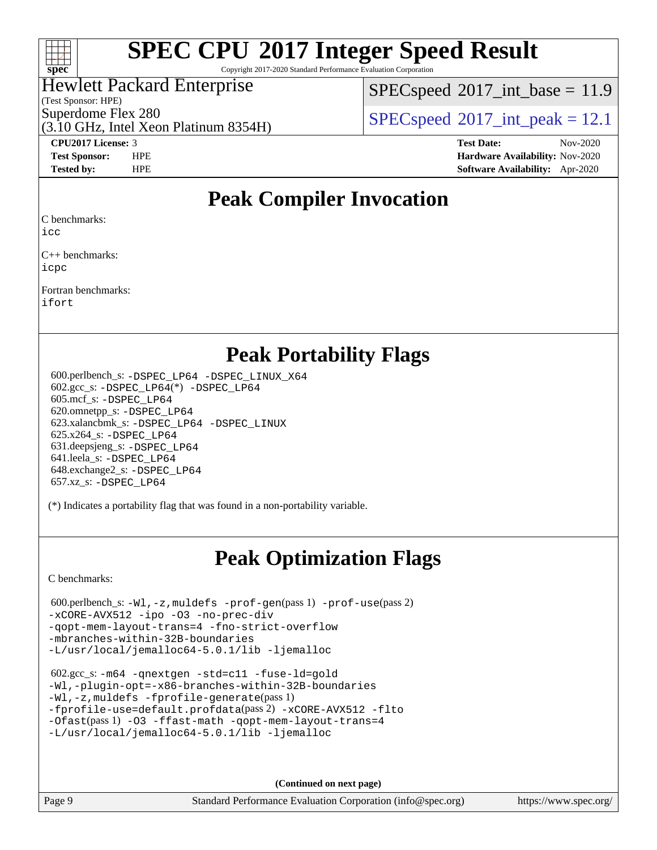

Copyright 2017-2020 Standard Performance Evaluation Corporation

#### Hewlett Packard Enterprise

(Test Sponsor: HPE)

 $SPECspeed^{\circ}2017\_int\_base = 11.9$  $SPECspeed^{\circ}2017\_int\_base = 11.9$ 

(3.10 GHz, Intel Xeon Platinum 8354H) Superdome Flex 280<br>  $SPEC speed^{\circ}2017$  int\_peak = 12.1

**[CPU2017 License:](http://www.spec.org/auto/cpu2017/Docs/result-fields.html#CPU2017License)** 3 **[Test Date:](http://www.spec.org/auto/cpu2017/Docs/result-fields.html#TestDate)** Nov-2020 **[Test Sponsor:](http://www.spec.org/auto/cpu2017/Docs/result-fields.html#TestSponsor)** HPE **[Hardware Availability:](http://www.spec.org/auto/cpu2017/Docs/result-fields.html#HardwareAvailability)** Nov-2020 **[Tested by:](http://www.spec.org/auto/cpu2017/Docs/result-fields.html#Testedby)** HPE **[Software Availability:](http://www.spec.org/auto/cpu2017/Docs/result-fields.html#SoftwareAvailability)** Apr-2020

### **[Peak Compiler Invocation](http://www.spec.org/auto/cpu2017/Docs/result-fields.html#PeakCompilerInvocation)**

[C benchmarks](http://www.spec.org/auto/cpu2017/Docs/result-fields.html#Cbenchmarks):

[icc](http://www.spec.org/cpu2017/results/res2020q4/cpu2017-20201207-24503.flags.html#user_CCpeak_intel_icc_66fc1ee009f7361af1fbd72ca7dcefbb700085f36577c54f309893dd4ec40d12360134090235512931783d35fd58c0460139e722d5067c5574d8eaf2b3e37e92)

[C++ benchmarks](http://www.spec.org/auto/cpu2017/Docs/result-fields.html#CXXbenchmarks): [icpc](http://www.spec.org/cpu2017/results/res2020q4/cpu2017-20201207-24503.flags.html#user_CXXpeak_intel_icpc_c510b6838c7f56d33e37e94d029a35b4a7bccf4766a728ee175e80a419847e808290a9b78be685c44ab727ea267ec2f070ec5dc83b407c0218cded6866a35d07)

[Fortran benchmarks:](http://www.spec.org/auto/cpu2017/Docs/result-fields.html#Fortranbenchmarks)

[ifort](http://www.spec.org/cpu2017/results/res2020q4/cpu2017-20201207-24503.flags.html#user_FCpeak_intel_ifort_8111460550e3ca792625aed983ce982f94888b8b503583aa7ba2b8303487b4d8a21a13e7191a45c5fd58ff318f48f9492884d4413fa793fd88dd292cad7027ca)

### **[Peak Portability Flags](http://www.spec.org/auto/cpu2017/Docs/result-fields.html#PeakPortabilityFlags)**

 600.perlbench\_s: [-DSPEC\\_LP64](http://www.spec.org/cpu2017/results/res2020q4/cpu2017-20201207-24503.flags.html#b600.perlbench_s_peakPORTABILITY_DSPEC_LP64) [-DSPEC\\_LINUX\\_X64](http://www.spec.org/cpu2017/results/res2020q4/cpu2017-20201207-24503.flags.html#b600.perlbench_s_peakCPORTABILITY_DSPEC_LINUX_X64) 602.gcc\_s: [-DSPEC\\_LP64](http://www.spec.org/cpu2017/results/res2020q4/cpu2017-20201207-24503.flags.html#suite_peakCCLD602_gcc_s_DSPEC_LP64)(\*) [-DSPEC\\_LP64](http://www.spec.org/cpu2017/results/res2020q4/cpu2017-20201207-24503.flags.html#suite_peakPORTABILITY602_gcc_s_DSPEC_LP64) 605.mcf\_s: [-DSPEC\\_LP64](http://www.spec.org/cpu2017/results/res2020q4/cpu2017-20201207-24503.flags.html#suite_peakPORTABILITY605_mcf_s_DSPEC_LP64) 620.omnetpp\_s: [-DSPEC\\_LP64](http://www.spec.org/cpu2017/results/res2020q4/cpu2017-20201207-24503.flags.html#suite_peakPORTABILITY620_omnetpp_s_DSPEC_LP64) 623.xalancbmk\_s: [-DSPEC\\_LP64](http://www.spec.org/cpu2017/results/res2020q4/cpu2017-20201207-24503.flags.html#suite_peakPORTABILITY623_xalancbmk_s_DSPEC_LP64) [-DSPEC\\_LINUX](http://www.spec.org/cpu2017/results/res2020q4/cpu2017-20201207-24503.flags.html#b623.xalancbmk_s_peakCXXPORTABILITY_DSPEC_LINUX) 625.x264\_s: [-DSPEC\\_LP64](http://www.spec.org/cpu2017/results/res2020q4/cpu2017-20201207-24503.flags.html#suite_peakPORTABILITY625_x264_s_DSPEC_LP64) 631.deepsjeng\_s: [-DSPEC\\_LP64](http://www.spec.org/cpu2017/results/res2020q4/cpu2017-20201207-24503.flags.html#suite_peakPORTABILITY631_deepsjeng_s_DSPEC_LP64) 641.leela\_s: [-DSPEC\\_LP64](http://www.spec.org/cpu2017/results/res2020q4/cpu2017-20201207-24503.flags.html#suite_peakPORTABILITY641_leela_s_DSPEC_LP64) 648.exchange2\_s: [-DSPEC\\_LP64](http://www.spec.org/cpu2017/results/res2020q4/cpu2017-20201207-24503.flags.html#suite_peakPORTABILITY648_exchange2_s_DSPEC_LP64) 657.xz\_s: [-DSPEC\\_LP64](http://www.spec.org/cpu2017/results/res2020q4/cpu2017-20201207-24503.flags.html#suite_peakPORTABILITY657_xz_s_DSPEC_LP64)

(\*) Indicates a portability flag that was found in a non-portability variable.

### **[Peak Optimization Flags](http://www.spec.org/auto/cpu2017/Docs/result-fields.html#PeakOptimizationFlags)**

[C benchmarks](http://www.spec.org/auto/cpu2017/Docs/result-fields.html#Cbenchmarks):

```
 600.perlbench_s: -Wl,-z,muldefs -prof-gen(pass 1) -prof-use(pass 2)
-xCORE-AVX512 -ipo -O3 -no-prec-div
-qopt-mem-layout-trans=4 -fno-strict-overflow
-mbranches-within-32B-boundaries
-L/usr/local/jemalloc64-5.0.1/lib -ljemalloc
```

```
 602.gcc_s: -m64 -qnextgen -std=c11 -fuse-ld=gold
-Wl,-plugin-opt=-x86-branches-within-32B-boundaries
-Wl,-z,muldefs -fprofile-generate(pass 1)
-fprofile-use=default.profdata(pass 2) -xCORE-AVX512 -flto
-Ofast(pass 1) -O3 -ffast-math -qopt-mem-layout-trans=4
-L/usr/local/jemalloc64-5.0.1/lib -ljemalloc
```
**(Continued on next page)**